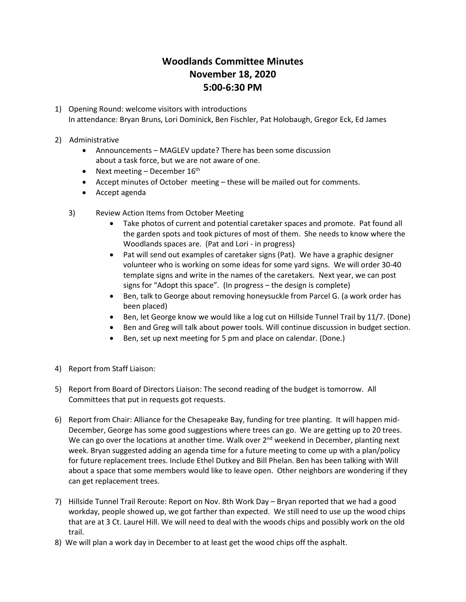## **Woodlands Committee Minutes November 18, 2020 5:00-6:30 PM**

- 1) Opening Round: welcome visitors with introductions In attendance: Bryan Bruns, Lori Dominick, Ben Fischler, Pat Holobaugh, Gregor Eck, Ed James
- 2) Administrative
	- Announcements MAGLEV update? There has been some discussion about a task force, but we are not aware of one.
	- Next meeting December 16<sup>th</sup>
	- Accept minutes of October meeting these will be mailed out for comments.
	- Accept agenda
	- 3) Review Action Items from October Meeting
		- Take photos of current and potential caretaker spaces and promote. Pat found all the garden spots and took pictures of most of them. She needs to know where the Woodlands spaces are. (Pat and Lori - in progress)
		- Pat will send out examples of caretaker signs (Pat). We have a graphic designer volunteer who is working on some ideas for some yard signs. We will order 30-40 template signs and write in the names of the caretakers. Next year, we can post signs for "Adopt this space". (In progress – the design is complete)
		- Ben, talk to George about removing honeysuckle from Parcel G. (a work order has been placed)
		- Ben, let George know we would like a log cut on Hillside Tunnel Trail by 11/7. (Done)
		- Ben and Greg will talk about power tools. Will continue discussion in budget section.
		- Ben, set up next meeting for 5 pm and place on calendar. (Done.)
- 4) Report from Staff Liaison:
- 5) Report from Board of Directors Liaison: The second reading of the budget is tomorrow. All Committees that put in requests got requests.
- 6) Report from Chair: Alliance for the Chesapeake Bay, funding for tree planting. It will happen mid-December, George has some good suggestions where trees can go. We are getting up to 20 trees. We can go over the locations at another time. Walk over  $2<sup>nd</sup>$  weekend in December, planting next week. Bryan suggested adding an agenda time for a future meeting to come up with a plan/policy for future replacement trees. Include Ethel Dutkey and Bill Phelan. Ben has been talking with Will about a space that some members would like to leave open. Other neighbors are wondering if they can get replacement trees.
- 7) Hillside Tunnel Trail Reroute: Report on Nov. 8th Work Day Bryan reported that we had a good workday, people showed up, we got farther than expected. We still need to use up the wood chips that are at 3 Ct. Laurel Hill. We will need to deal with the woods chips and possibly work on the old trail.
- 8) We will plan a work day in December to at least get the wood chips off the asphalt.